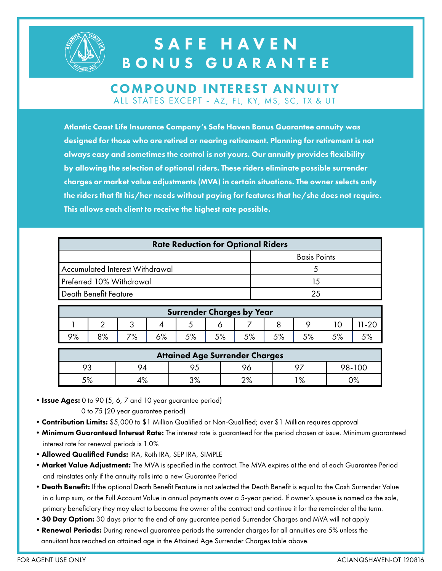

## SAFE HAVEN BONUS GUARANTEE

#### COMPOUND INTEREST ANNUITY ALL STATES EXCEPT - AZ, FL, KY, MS, SC, TX & UT

Atlantic Coast Life Insurance Company's Safe Haven Bonus Guarantee annuity was designed for those who are retired or nearing retirement. Planning for retirement is not always easy and sometimes the control is not yours. Our annuity provides flexibility by allowing the selection of optional riders. These riders eliminate possible surrender charges or market value adjustments (MVA) in certain situations. The owner selects only the riders that fit his/her needs without paying for features that he/she does not require. This allows each client to receive the highest rate possible.

| <b>Rate Reduction for Optional Riders</b> |                     |  |  |  |  |
|-------------------------------------------|---------------------|--|--|--|--|
|                                           | <b>Basis Points</b> |  |  |  |  |
| Accumulated Interest Withdrawal           |                     |  |  |  |  |
| Preferred 10% Withdrawal                  | 15                  |  |  |  |  |
| Death Benefit Feature                     | 25                  |  |  |  |  |
|                                           |                     |  |  |  |  |

| Surrender Charges by Year |    |           |            |    |             |     |      |             |  |
|---------------------------|----|-----------|------------|----|-------------|-----|------|-------------|--|
|                           |    | w         |            |    |             |     |      |             |  |
| 9%                        | 8% | 70/<br>/о | /٥ ؛<br>70 | 5% | 50/<br>ہ⁄ ر | 50/ | F O/ | 50/<br>ە⁄ ب |  |

| <b>Attained Age Surrender Charges</b> |            |            |             |      |        |  |  |  |
|---------------------------------------|------------|------------|-------------|------|--------|--|--|--|
| 93                                    | 9Δ.        |            |             | 07   | 98-100 |  |  |  |
| 5%                                    | $\sqrt{2}$ | ∕ס פ<br>70 | ∩0∕<br>ە/ ـ | 1 O/ | ∩0∕    |  |  |  |

• Issue Ages: 0 to 90 (5, 6, 7 and 10 year guarantee period)

0 to 75 (20 year guarantee period)

- Contribution Limits: \$5,000 to \$1 Million Qualified or Non-Qualified; over \$1 Million requires approval
- Minimum Guaranteed Interest Rate: The interest rate is guaranteed for the period chosen at issue. Minimum guaranteed interest rate for renewal periods is 1.0%
- •Allowed Qualified Funds: IRA, Roth IRA, SEP IRA, SIMPLE
- Market Value Adjustment: The MVA is specified in the contract. The MVA expires at the end of each Guarantee Period and reinstates only if the annuity rolls into a new Guarantee Period
- Death Benefit: If the optional Death Benefit Feature is not selected the Death Benefit is equal to the Cash Surrender Value in a lump sum, or the Full Account Value in annual payments over a 5-year period. If owner's spouse is named as the sole, primary beneficiary they may elect to become the owner of the contract and continue it for the remainder of the term.
- 30 Day Option: 30 days prior to the end of any guarantee period Surrender Charges and MVA will not apply
- Renewal Periods: During renewal guarantee periods the surrender charges for all annuities are 5% unless the annuitant has reached an attained age in the Attained Age Surrender Charges table above.